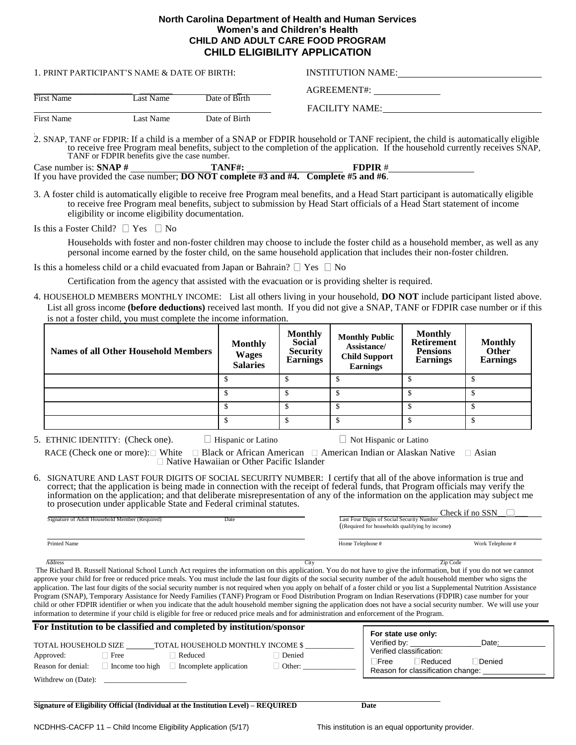| North Carolina Department of Health and Human Services |  |
|--------------------------------------------------------|--|
| Women's and Children's Health                          |  |
| CHILD AND ADULT CARE FOOD PROGRAM                      |  |
| <b>CHILD ELIGIBILITY APPLICATION</b>                   |  |

| 1. PRINT PARTICIPANT'S NAME & DATE OF BIRTH: |           |               | <b>INSTITUTION NAME:</b>             |
|----------------------------------------------|-----------|---------------|--------------------------------------|
| Date of Birth<br>First Name<br>Last Name     |           |               | AGREEMENT#:<br><b>FACILITY NAME:</b> |
| First Name                                   | Last Name | Date of Birth |                                      |

.<br>2. SNAP, TANF or FDPIR: If a child is a member of a SNAP or FDPIR household or TANF recipient, the child is automatically eligible to receive free Program meal benefits, subject to the completion of the application. If the household currently receives SNAP, TANF or FDPIR benefits give the case number.

Case number is:  $\mathbf{SNAP} \neq \underline{\hspace{2cm}}$  **TANF#:**  $\underline{\hspace{2cm}}$  **FDPIR**  $\neq$ If you have provided the case number; **DO NOT complete #3 and #4. Complete #5 and #6**.

3. A foster child is automatically eligible to receive free Program meal benefits, and a Head Start participant is automatically eligible to receive free Program meal benefits, subject to submission by Head Start officials of a Head Start statement of income eligibility or income eligibility documentation.

Is this a Foster Child?  $\Box$  Yes  $\Box$  No

Households with foster and non-foster children may choose to include the foster child as a household member, as well as any personal income earned by the foster child, on the same household application that includes their non-foster children.

Is this a homeless child or a child evacuated from Japan or Bahrain?  $\Box$  Yes  $\Box$  No

Certification from the agency that assisted with the evacuation or is providing shelter is required.

4. HOUSEHOLD MEMBERS MONTHLY INCOME: List all others living in your household, **DO NOT** include participant listed above. List all gross income **(before deductions)** received last month. If you did not give a SNAP, TANF or FDPIR case number or if this is not a foster child, you must complete the income information.

| Names of all Other Household Members | <b>Monthly</b><br><b>Wages</b><br><b>Salaries</b> | <b>Monthly</b><br><b>Social</b><br><b>Security</b><br><b>Earnings</b> | <b>Monthly Public</b><br>Assistance/<br><b>Child Support</b><br><b>Earnings</b> | <b>Monthly</b><br><b>Retirement</b><br><b>Pensions</b><br><b>Earnings</b> | <b>Monthly</b><br><b>Other</b><br><b>Earnings</b> |
|--------------------------------------|---------------------------------------------------|-----------------------------------------------------------------------|---------------------------------------------------------------------------------|---------------------------------------------------------------------------|---------------------------------------------------|
|                                      |                                                   |                                                                       |                                                                                 |                                                                           |                                                   |
|                                      |                                                   |                                                                       |                                                                                 |                                                                           |                                                   |
|                                      |                                                   |                                                                       |                                                                                 |                                                                           |                                                   |
|                                      |                                                   |                                                                       |                                                                                 |                                                                           |                                                   |

| 5. ETHNIC IDENTITY: (Check one). | Hispanic or Latino | $\Box$ Not Hispanic or Latino |
|----------------------------------|--------------------|-------------------------------|
|----------------------------------|--------------------|-------------------------------|

RACE (Check one or more): White  $\Box$  Black or African American  $\Box$  American Indian or Alaskan Native  $\Box$  Asian Native Hawaiian or Other Pacific Islander

6. SIGNATURE AND LAST FOUR DIGITS OF SOCIAL SECURITY NUMBER: I certify that all of the above information is true and correct; that the application is being made in connection with the receipt of federal funds, that Program officials may verify the information on the application; and that deliberate misrepresentation of any of the information on the application may subject me to prosecution under applicable State and Federal criminal statutes.

|                                                |      |                                                 | Check if no SSN  |
|------------------------------------------------|------|-------------------------------------------------|------------------|
| Signature of Adult Household Member (Required) | Date | Last Four Digits of Social Security Number      |                  |
|                                                |      | ((Required for households qualifying by income) |                  |
|                                                |      |                                                 |                  |
| <b>Printed Name</b>                            |      | Home Telephone #                                | Work Telephone # |
|                                                |      |                                                 |                  |

 Address City Zip Code The Richard B. Russell National School Lunch Act requires the information on this application. You do not have to give the information, but if you do not we cannot approve your child for free or reduced price meals. You must include the last four digits of the social security number of the adult household member who signs the application. The last four digits of the social security number is not required when you apply on behalf of a foster child or you list a Supplemental Nutrition Assistance Program (SNAP), Temporary Assistance for Needy Families (TANF) Program or Food Distribution Program on Indian Reservations (FDPIR) case number for your child or other FDPIR identifier or when you indicate that the adult household member signing the application does not have a social security number. We will use your information to determine if your child is eligible for free or reduced price meals and for administration and enforcement of the Program.

| For Institution to be classified and completed by institution/sponsor |                 |                               | For state use only:   |                                                       |  |
|-----------------------------------------------------------------------|-----------------|-------------------------------|-----------------------|-------------------------------------------------------|--|
| TOTAL HOUSEHOLD MONTHLY INCOME \$<br>TOTAL HOUSEHOLD SIZE             |                 |                               | Verified by:<br>Date: |                                                       |  |
| Approved:                                                             | Free            | Reduced                       | Denied                | Verified classification:<br>Denied<br>Reduced<br>Free |  |
| Reason for denial:                                                    | Income too high | $\Box$ Incomplete application | Other:                | Reason for classification change:                     |  |
| Withdrew on (Date):                                                   |                 |                               |                       |                                                       |  |

**Signature of Eligibility Official (Individual at the Institution Level) – REQUIRED Date**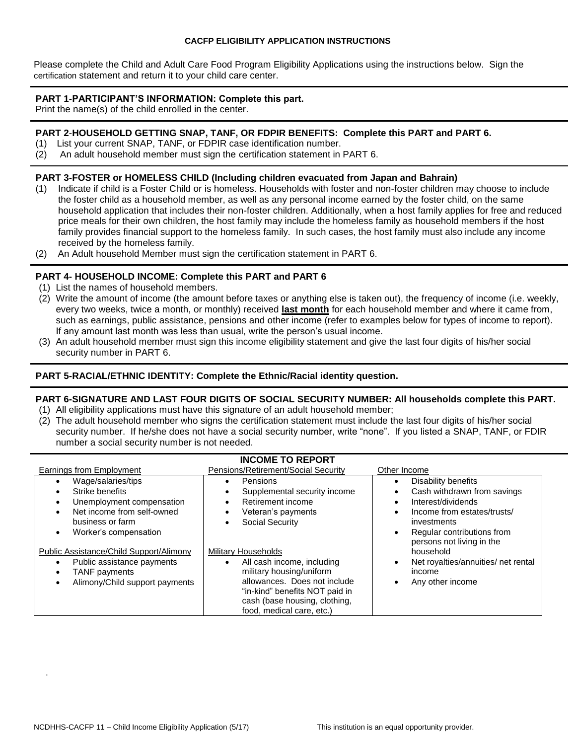Please complete the Child and Adult Care Food Program Eligibility Applications using the instructions below. Sign the certification statement and return it to your child care center.

#### **PART 1-PARTICIPANT'S INFORMATION: Complete this part.**

Print the name(s) of the child enrolled in the center.

#### **PART 2**-**HOUSEHOLD GETTING SNAP, TANF, OR FDPIR BENEFITS: Complete this PART and PART 6.**

- (1) List your current SNAP, TANF, or FDPIR case identification number.
- (2) An adult household member must sign the certification statement in PART 6.

#### **PART 3-FOSTER or HOMELESS CHILD (Including children evacuated from Japan and Bahrain)**

- (1) Indicate if child is a Foster Child or is homeless. Households with foster and non-foster children may choose to include the foster child as a household member, as well as any personal income earned by the foster child, on the same household application that includes their non-foster children. Additionally, when a host family applies for free and reduced price meals for their own children, the host family may include the homeless family as household members if the host family provides financial support to the homeless family. In such cases, the host family must also include any income received by the homeless family.
- (2) An Adult household Member must sign the certification statement in PART 6.

## **PART 4- HOUSEHOLD INCOME: Complete this PART and PART 6**

- (1) List the names of household members.
- (2) Write the amount of income (the amount before taxes or anything else is taken out), the frequency of income (i.e. weekly, every two weeks, twice a month, or monthly) received **last month** for each household member and where it came from, such as earnings, public assistance, pensions and other income (refer to examples below for types of income to report). If any amount last month was less than usual, write the person's usual income.
- (3) An adult household member must sign this income eligibility statement and give the last four digits of his/her social security number in PART 6.

### **PART 5-RACIAL/ETHNIC IDENTITY: Complete the Ethnic/Racial identity question.**

## **PART 6-SIGNATURE AND LAST FOUR DIGITS OF SOCIAL SECURITY NUMBER: All households complete this PART.**

- (1) All eligibility applications must have this signature of an adult household member;
- (2) The adult household member who signs the certification statement must include the last four digits of his/her social security number. If he/she does not have a social security number, write "none". If you listed a SNAP, TANF, or FDIR number a social security number is not needed.

| <b>INCOME TO REPORT</b>                                                                                                                                                                                                                                                                                              |                                                                                                                                                                                                                                                                                                                                                               |                                                                                                                                                                                                                                                                     |  |  |
|----------------------------------------------------------------------------------------------------------------------------------------------------------------------------------------------------------------------------------------------------------------------------------------------------------------------|---------------------------------------------------------------------------------------------------------------------------------------------------------------------------------------------------------------------------------------------------------------------------------------------------------------------------------------------------------------|---------------------------------------------------------------------------------------------------------------------------------------------------------------------------------------------------------------------------------------------------------------------|--|--|
| Earnings from Employment                                                                                                                                                                                                                                                                                             | Pensions/Retirement/Social Security                                                                                                                                                                                                                                                                                                                           | Other Income                                                                                                                                                                                                                                                        |  |  |
| Wage/salaries/tips<br>Strike benefits<br>Unemployment compensation<br>$\bullet$<br>Net income from self-owned<br>business or farm<br>Worker's compensation<br>٠<br>Public Assistance/Child Support/Alimony<br>Public assistance payments<br>$\bullet$<br><b>TANF</b> payments<br>٠<br>Alimony/Child support payments | Pensions<br>٠<br>Supplemental security income<br>Retirement income<br>$\bullet$<br>Veteran's payments<br>Social Security<br><b>Military Households</b><br>All cash income, including<br>$\bullet$<br>military housing/uniform<br>allowances. Does not include<br>"in-kind" benefits NOT paid in<br>cash (base housing, clothing,<br>food, medical care, etc.) | Disability benefits<br>Cash withdrawn from savings<br>Interest/dividends<br>Income from estates/trusts/<br>investments<br>Regular contributions from<br>persons not living in the<br>household<br>Net royalties/annuities/ net rental<br>income<br>Any other income |  |  |

.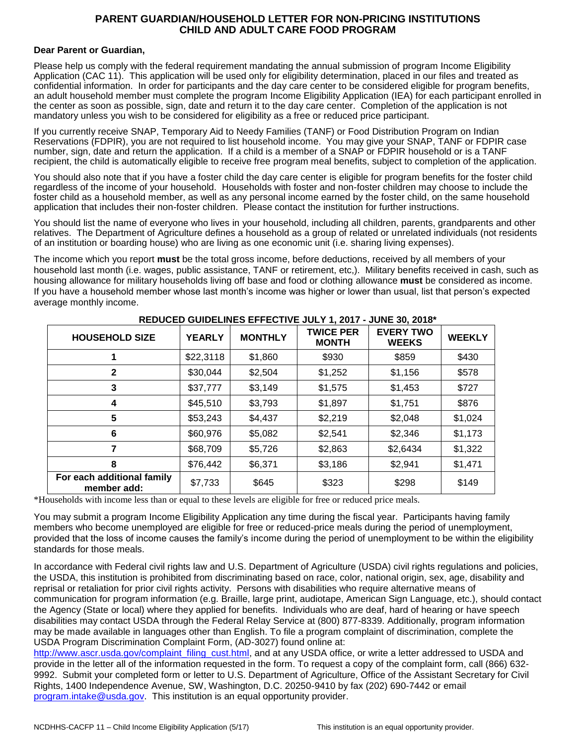### **PARENT GUARDIAN/HOUSEHOLD LETTER FOR NON-PRICING INSTITUTIONS CHILD AND ADULT CARE FOOD PROGRAM**

#### **Dear Parent or Guardian,**

Please help us comply with the federal requirement mandating the annual submission of program Income Eligibility Application (CAC 11). This application will be used only for eligibility determination, placed in our files and treated as confidential information. In order for participants and the day care center to be considered eligible for program benefits, an adult household member must complete the program Income Eligibility Application (IEA) for each participant enrolled in the center as soon as possible, sign, date and return it to the day care center. Completion of the application is not mandatory unless you wish to be considered for eligibility as a free or reduced price participant.

If you currently receive SNAP, Temporary Aid to Needy Families (TANF) or Food Distribution Program on Indian Reservations (FDPIR), you are not required to list household income. You may give your SNAP, TANF or FDPIR case number, sign, date and return the application. If a child is a member of a SNAP or FDPIR household or is a TANF recipient, the child is automatically eligible to receive free program meal benefits, subject to completion of the application.

You should also note that if you have a foster child the day care center is eligible for program benefits for the foster child regardless of the income of your household. Households with foster and non-foster children may choose to include the foster child as a household member, as well as any personal income earned by the foster child, on the same household application that includes their non-foster children. Please contact the institution for further instructions.

You should list the name of everyone who lives in your household, including all children, parents, grandparents and other relatives. The Department of Agriculture defines a household as a group of related or unrelated individuals (not residents of an institution or boarding house) who are living as one economic unit (i.e. sharing living expenses).

The income which you report **must** be the total gross income, before deductions, received by all members of your household last month (i.e. wages, public assistance, TANF or retirement, etc,). Military benefits received in cash, such as housing allowance for military households living off base and food or clothing allowance **must** be considered as income. If you have a household member whose last month's income was higher or lower than usual, list that person's expected average monthly income.

| <b>HOUSEHOLD SIZE</b>                     | <b>YEARLY</b> | <b>MONTHLY</b> | <b>TWICE PER</b><br><b>MONTH</b> | <b>EVERY TWO</b><br><b>WEEKS</b> | <b>WEEKLY</b> |
|-------------------------------------------|---------------|----------------|----------------------------------|----------------------------------|---------------|
|                                           | \$22,3118     | \$1,860        | \$930                            | \$859                            | \$430         |
| 2                                         | \$30,044      | \$2,504        | \$1,252                          | \$1,156                          | \$578         |
| 3                                         | \$37,777      | \$3,149        | \$1,575                          | \$1,453                          | \$727         |
| 4                                         | \$45,510      | \$3,793        | \$1,897                          | \$1,751                          | \$876         |
| 5                                         | \$53,243      | \$4,437        | \$2,219                          | \$2,048                          | \$1,024       |
| 6                                         | \$60,976      | \$5,082        | \$2,541                          | \$2,346                          | \$1,173       |
| 7                                         | \$68,709      | \$5,726        | \$2,863                          | \$2,6434                         | \$1,322       |
| 8                                         | \$76,442      | \$6,371        | \$3,186                          | \$2,941                          | \$1,471       |
| For each additional family<br>member add: | \$7,733       | \$645          | \$323                            | \$298                            | \$149         |

## **REDUCED GUIDELINES EFFECTIVE JULY 1, 2017 - JUNE 30, 2018\***

\*Households with income less than or equal to these levels are eligible for free or reduced price meals.

You may submit a program Income Eligibility Application any time during the fiscal year. Participants having family members who become unemployed are eligible for free or reduced-price meals during the period of unemployment, provided that the loss of income causes the family's income during the period of unemployment to be within the eligibility standards for those meals.

In accordance with Federal civil rights law and U.S. Department of Agriculture (USDA) civil rights regulations and policies, the USDA, this institution is prohibited from discriminating based on race, color, national origin, sex, age, disability and reprisal or retaliation for prior civil rights activity. Persons with disabilities who require alternative means of communication for program information (e.g. Braille, large print, audiotape, American Sign Language, etc.), should contact the Agency (State or local) where they applied for benefits. Individuals who are deaf, hard of hearing or have speech disabilities may contact USDA through the Federal Relay Service at (800) 877-8339. Additionally, program information may be made available in languages other than English. To file a program complaint of discrimination, complete the USDA Program Discrimination Complaint Form, (AD-3027) found online at:

[http://www.ascr.usda.gov/complaint\\_filing\\_cust.html,](http://www.ascr.usda.gov/complaint_filing_cust.html) and at any USDA office, or write a letter addressed to USDA and provide in the letter all of the information requested in the form. To request a copy of the complaint form, call (866) 632- 9992. Submit your completed form or letter to U.S. Department of Agriculture, Office of the Assistant Secretary for Civil Rights, 1400 Independence Avenue, SW, Washington, D.C. 20250-9410 by fax (202) 690-7442 or email [program.intake@usda.gov.](mailto:program.intake@usda.gov) This institution is an equal opportunity provider.